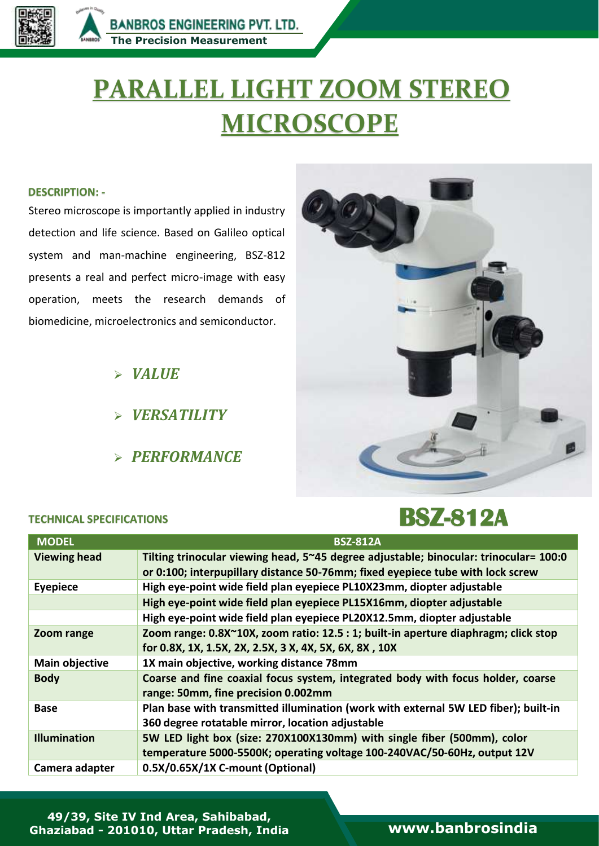

**People**

# **PARALLEL LIGHT ZOOM STEREO MICROSCOPE**

#### **DESCRIPTION: -**

Stereo microscope is importantly applied in industry detection and life science. Based on Galileo optical system and man-machine engineering, BSZ-812 presents a real and perfect micro-image with easy operation, meets the research demands of biomedicine, microelectronics and semiconductor.

*VALUE*

- *VERSATILITY*
- *PERFORMANCE*

#### **TECHNICAL SPECIFICATIONS**



## **BSZ-812A**

| <b>MODEL</b>          | <b>BSZ-812A</b>                                                                       |
|-----------------------|---------------------------------------------------------------------------------------|
| <b>Viewing head</b>   | Tilting trinocular viewing head, 5~45 degree adjustable; binocular: trinocular= 100:0 |
|                       | or 0:100; interpupillary distance 50-76mm; fixed eyepiece tube with lock screw        |
| <b>Eyepiece</b>       | High eye-point wide field plan eyepiece PL10X23mm, diopter adjustable                 |
|                       | High eye-point wide field plan eyepiece PL15X16mm, diopter adjustable                 |
|                       | High eye-point wide field plan eyepiece PL20X12.5mm, diopter adjustable               |
| Zoom range            | Zoom range: 0.8X~10X, zoom ratio: 12.5 : 1; built-in aperture diaphragm; click stop   |
|                       | for 0.8X, 1X, 1.5X, 2X, 2.5X, 3 X, 4X, 5X, 6X, 8X, 10X                                |
| <b>Main objective</b> | 1X main objective, working distance 78mm                                              |
| <b>Body</b>           | Coarse and fine coaxial focus system, integrated body with focus holder, coarse       |
|                       | range: 50mm, fine precision 0.002mm                                                   |
| <b>Base</b>           | Plan base with transmitted illumination (work with external 5W LED fiber); built-in   |
|                       | 360 degree rotatable mirror, location adjustable                                      |
| <b>Illumination</b>   | 5W LED light box (size: 270X100X130mm) with single fiber (500mm), color               |
|                       | temperature 5000-5500K; operating voltage 100-240VAC/50-60Hz, output 12V              |
| Camera adapter        | 0.5X/0.65X/1X C-mount (Optional)                                                      |

**49/39, Site IV Ind Area, Sahibabad, Ghaziabad - 201010, Uttar Pradesh, India [www.banbrosindia](file:///C:/Users/Bambros%20User/Desktop/Banbros%20Engineering%20Pvt.%20Ltd/Banbros%20Engineering%20Pvt.%20Ltd/New%20Cataloge%20PDF/My%20Own%20PDF/www.banbrosindia.com)**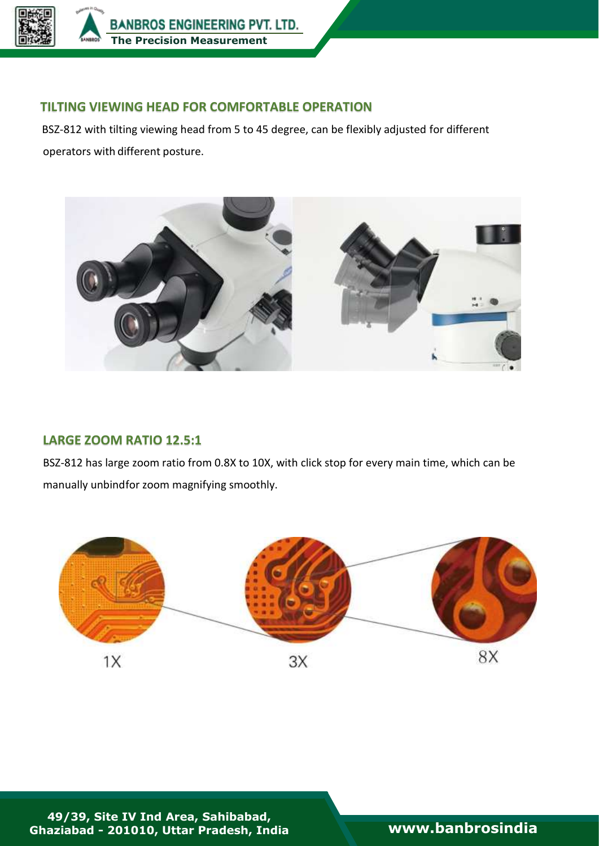

**BANBROS ENGINEERING PVT. LTD. [The Precision Measurement](https://banbrosindia.com/index.php)** 

**People**

#### **TILTING VIEWING HEAD FOR COMFORTABLE OPERATION**

 BSZ-812 with tilting viewing head from 5 to 45 degree, can be flexibly adjusted for different operators with different posture.



#### **LARGE ZOOM RATIO 12.5:1**

BSZ-812 has large zoom ratio from 0.8X to 10X, with click stop for every main time, which can be manually unbindfor zoom magnifying smoothly.



**49/39, Site IV Ind Area, Sahibabad, Ghaziabad - 201010, Uttar Pradesh, India [www.banbrosindia](file:///C:/Users/Bambros%20User/Desktop/Banbros%20Engineering%20Pvt.%20Ltd/Banbros%20Engineering%20Pvt.%20Ltd/New%20Cataloge%20PDF/My%20Own%20PDF/www.banbrosindia.com)**